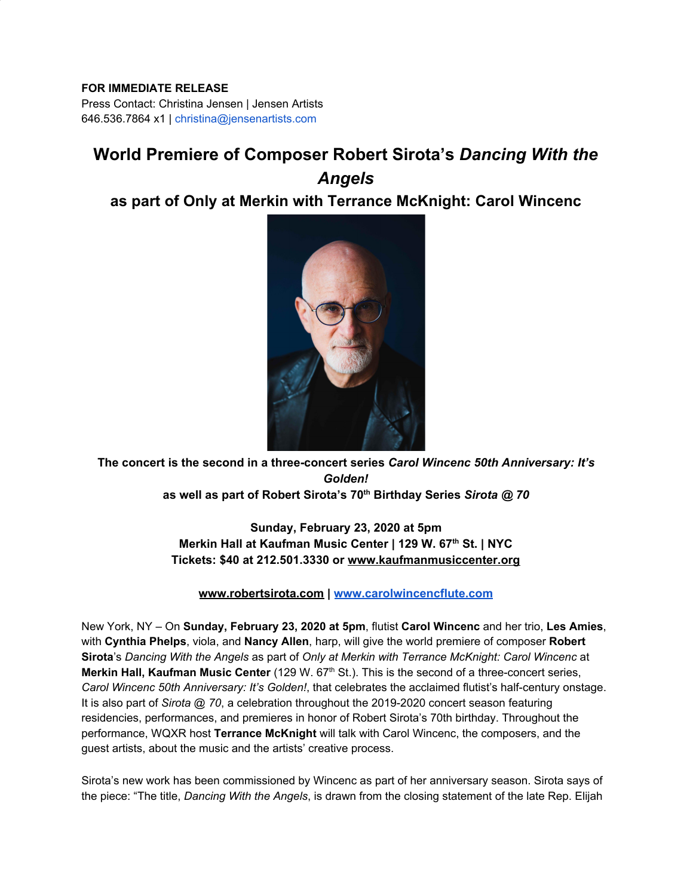## **FOR IMMEDIATE RELEASE**

Press Contact: Christina Jensen | Jensen Artists 646.536.7864 x1 | christina@jensenartists.com

## **World Premiere of Composer Robert Sirota's** *Dancing With the Angels*

## **as part of Only at Merkin with Terrance McKnight: Carol Wincenc**



**The concert is the second in a three-concert series** *Carol Wincenc 50th Anniversary: It's Golden!* **as well as part of Robert Sirota's 70th Birthday Series** *Sirota @ 70*

> **Sunday, February 23, 2020 at 5pm Merkin Hall at Kaufman Music Center | 129 W. 67th St. | NYC Tickets: \$40 at 212.501.3330 or [www.kaufmanmusiccenter.org](https://u7061146.ct.sendgrid.net/wf/click?upn=G62jSYfZdO-2F12d8lSllQB4x8Vv8JU3ALJZtul1k7942tzk7rvBPhokIySr-2F1wqAoPKMPLECtYYluE093r92Lq0nQq0vcPd88H59ECqxa-2FKeuVXztxxPTKAKMIJcBM3AGzwK15isf8zLUQ4RPOTRqCw-3D-3D_DruDjhchMBr5xQkz3h1qcOnjZc-2BCsAVhraQ7DxYhbA2-2BHLQf-2BHKWaWi2FTM7QHo-2Fd7eCMDRMAhfd2mcWSs-2FpzNW9MmuPwV7rH-2FbDd7DdSSb-2BgCd9bBcZF6CMHDYUDP-2F5loRa7crRFn7CqzzXhbR1bSbaRzwNpVmEmzJn0izDq2oi7DYm8npLSU5PRIfpPEXu8wIgGVw01HOjVSXV5PW5BfLGZ29OIGR6CT0TFdwf142emMPzBCj22k8UrSJmRIIgQn6UyWeT0Ftpq-2F0uF54psnnFCIlZyjReAftLObLLudh90GBOkGGJEEOIbs2wUjGzPzvPoMrvCPhgj4MUtL2KYFFbCot3BcinGg0-2BX3XalpQ-3D)**

**[www.robertsirota.com](https://u7061146.ct.sendgrid.net/wf/click?upn=84Em28S1K9SvtzcUtu04EkNTvallk-2FOI7arIrvxNOUGfEvLVhysbYzwjTJk-2BVVBm_DruDjhchMBr5xQkz3h1qcOnjZc-2BCsAVhraQ7DxYhbA2-2BHLQf-2BHKWaWi2FTM7QHo-2Fd7eCMDRMAhfd2mcWSs-2FpzNW9MmuPwV7rH-2FbDd7DdSSb-2BgCd9bBcZF6CMHDYUDP-2F5loRa7crRFn7CqzzXhbR1bSbaRzwNpVmEmzJn0izDq2oi7DYm8npLSU5PRIfpPEXu8wIgGVw01HOjVSXV5PW5Bc1lGUtAihlgVlZ9PEzQPRQf-2FtCVlsRiOnQmZh9p-2B39mffySjhM-2B9arKKZjlIyMaUV1dF3sYolrH5QktHXlX7BQUEpPIuQx3rEa5ww37-2BWOWsalTq23AY4QxFRxAIFBFCkpxzcpcFFrZ7WQpUrteUrw-3D) | [www.carolwincencflute.com](http://www.carolwincencflute.com/)**

New York, NY – On **Sunday, February 23, 2020 at 5pm**, flutist **Carol Wincenc** and her trio, **Les Amies**, with **Cynthia Phelps**, viola, and **Nancy Allen**, harp, will give the world premiere of composer **Robert Sirota**'s *Dancing With the Angels* as part of *Only at Merkin with Terrance McKnight: Carol Wincenc* at **Merkin Hall, Kaufman Music Center** (129 W. 67<sup>th</sup> St.). This is the second of a three-concert series, *Carol Wincenc 50th Anniversary: It's Golden!*, that celebrates the acclaimed flutist's half-century onstage. It is also part of *Sirota @ 70*, a celebration throughout the 2019-2020 concert season featuring residencies, performances, and premieres in honor of Robert Sirota's 70th birthday. Throughout the performance, WQXR host **Terrance McKnight** will talk with Carol Wincenc, the composers, and the guest artists, about the music and the artists' creative process.

Sirota's new work has been commissioned by Wincenc as part of her anniversary season. Sirota says of the piece: "The title, *Dancing With the Angels*, is drawn from the closing statement of the late Rep. Elijah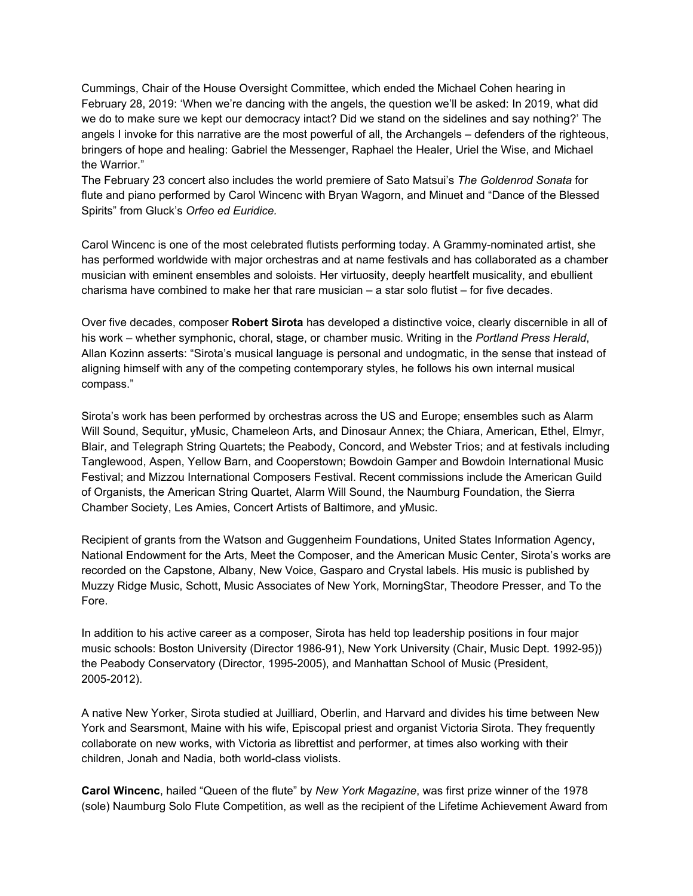Cummings, Chair of the House Oversight Committee, which ended the Michael Cohen hearing in February 28, 2019: 'When we're dancing with the angels, the question we'll be asked: In 2019, what did we do to make sure we kept our democracy intact? Did we stand on the sidelines and say nothing?' The angels I invoke for this narrative are the most powerful of all, the Archangels – defenders of the righteous, bringers of hope and healing: Gabriel the Messenger, Raphael the Healer, Uriel the Wise, and Michael the Warrior."

The February 23 concert also includes the world premiere of Sato Matsui's *The Goldenrod Sonata* for flute and piano performed by Carol Wincenc with Bryan Wagorn, and Minuet and "Dance of the Blessed Spirits" from Gluck's *Orfeo ed Euridice.*

Carol Wincenc is one of the most celebrated flutists performing today. A Grammy-nominated artist, she has performed worldwide with major orchestras and at name festivals and has collaborated as a chamber musician with eminent ensembles and soloists. Her virtuosity, deeply heartfelt musicality, and ebullient charisma have combined to make her that rare musician  $-$  a star solo flutist  $-$  for five decades.

Over five decades, composer **Robert Sirota** has developed a distinctive voice, clearly discernible in all of his work – whether symphonic, choral, stage, or chamber music. Writing in the *Portland Press Herald*, Allan Kozinn asserts: "Sirota's musical language is personal and undogmatic, in the sense that instead of aligning himself with any of the competing contemporary styles, he follows his own internal musical compass."

Sirota's work has been performed by orchestras across the US and Europe; ensembles such as Alarm Will Sound, Sequitur, yMusic, Chameleon Arts, and Dinosaur Annex; the Chiara, American, Ethel, Elmyr, Blair, and Telegraph String Quartets; the Peabody, Concord, and Webster Trios; and at festivals including Tanglewood, Aspen, Yellow Barn, and Cooperstown; Bowdoin Gamper and Bowdoin International Music Festival; and Mizzou International Composers Festival. Recent commissions include the American Guild of Organists, the American String Quartet, Alarm Will Sound, the Naumburg Foundation, the Sierra Chamber Society, Les Amies, Concert Artists of Baltimore, and yMusic.

Recipient of grants from the Watson and Guggenheim Foundations, United States Information Agency, National Endowment for the Arts, Meet the Composer, and the American Music Center, Sirota's works are recorded on the Capstone, Albany, New Voice, Gasparo and Crystal labels. His music is published by Muzzy Ridge Music, Schott, Music Associates of New York, MorningStar, Theodore Presser, and To the Fore.

In addition to his active career as a composer, Sirota has held top leadership positions in four major music schools: Boston University (Director 1986-91), New York University (Chair, Music Dept. 1992-95)) the Peabody Conservatory (Director, 1995-2005), and Manhattan School of Music (President, 2005-2012).

A native New Yorker, Sirota studied at Juilliard, Oberlin, and Harvard and divides his time between New York and Searsmont, Maine with his wife, Episcopal priest and organist Victoria Sirota. They frequently collaborate on new works, with Victoria as librettist and performer, at times also working with their children, Jonah and Nadia, both world-class violists.

**Carol Wincenc**, hailed "Queen of the flute" by *New York Magazine*, was first prize winner of the 1978 (sole) Naumburg Solo Flute Competition, as well as the recipient of the Lifetime Achievement Award from